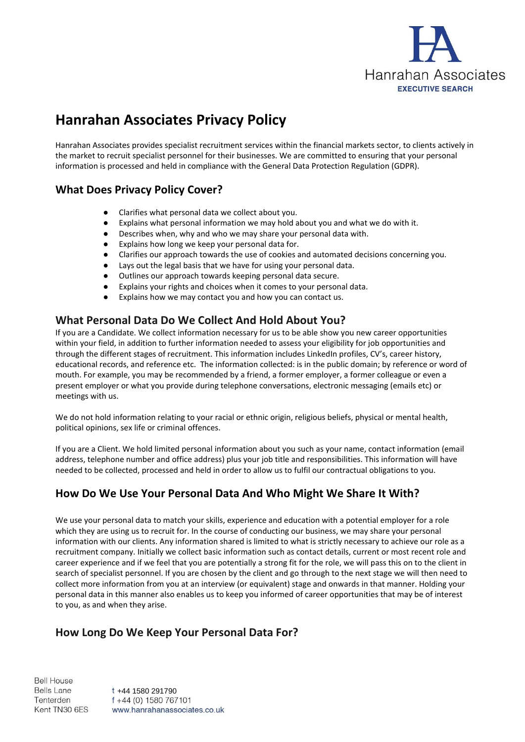

# **Hanrahan Associates Privacy Policy**

Hanrahan Associates provides specialist recruitment services within the financial markets sector, to clients actively in the market to recruit specialist personnel for their businesses. We are committed to ensuring that your personal information is processed and held in compliance with the General Data Protection Regulation (GDPR).

## **What Does Privacy Policy Cover?**

- Clarifies what personal data we collect about you.
- Explains what personal information we may hold about you and what we do with it.
- Describes when, why and who we may share your personal data with.
- Explains how long we keep your personal data for.
- Clarifies our approach towards the use of cookies and automated decisions concerning you.
- Lays out the legal basis that we have for using your personal data.
- Outlines our approach towards keeping personal data secure.
- Explains your rights and choices when it comes to your personal data.
- Explains how we may contact you and how you can contact us.

## **What Personal Data Do We Collect And Hold About You?**

If you are a Candidate. We collect information necessary for us to be able show you new career opportunities within your field, in addition to further information needed to assess your eligibility for job opportunities and through the different stages of recruitment. This information includes LinkedIn profiles, CV's, career history, educational records, and reference etc. The information collected: is in the public domain; by reference or word of mouth. For example, you may be recommended by a friend, a former employer, a former colleague or even a present employer or what you provide during telephone conversations, electronic messaging (emails etc) or meetings with us.

We do not hold information relating to your racial or ethnic origin, religious beliefs, physical or mental health, political opinions, sex life or criminal offences.

If you are a Client. We hold limited personal information about you such as your name, contact information (email address, telephone number and office address) plus your job title and responsibilities. This information will have needed to be collected, processed and held in order to allow us to fulfil our contractual obligations to you.

# **How Do We Use Your Personal Data And Who Might We Share It With?**

We use your personal data to match your skills, experience and education with a potential employer for a role which they are using us to recruit for. In the course of conducting our business, we may share your personal information with our clients. Any information shared is limited to what is strictly necessary to achieve our role as a recruitment company. Initially we collect basic information such as contact details, current or most recent role and career experience and if we feel that you are potentially a strong fit for the role, we will pass this on to the client in search of specialist personnel. If you are chosen by the client and go through to the next stage we will then need to collect more information from you at an interview (or equivalent) stage and onwards in that manner. Holding your personal data in this manner also enables us to keep you informed of career opportunities that may be of interest to you, as and when they arise.

# **How Long Do We Keep Your Personal Data For?**

**Bell House Bells Lane**  $t +44 1580 291790$ <br> $f +44 (0) 1580 767101$ Tenterden Kent TN30 6ES www.hanrahanassociates.co.uk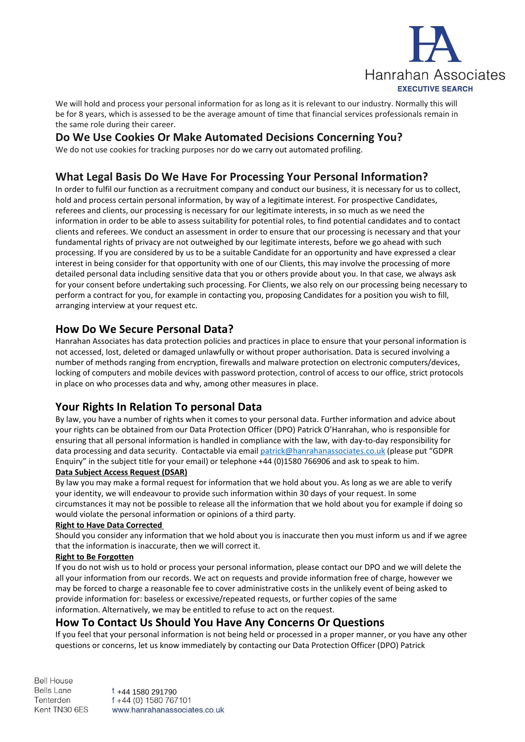

We will hold and process your personal information for as long as it is relevant to our industry. Normally this will be for 8 years, which is assessed to be the average amount of time that financial services professionals remain in the same role during their career.

#### **Do We Use Cookies Or Make Automated Decisions Concerning You?**

We do not use cookies for tracking purposes nor do we carry out automated profiling.

## **What Legal Basis Do We Have For Processing Your Personal Information?**

In order to fulfil our function as a recruitment company and conduct our business, it is necessary for us to collect, hold and process certain personal information, by way of a legitimate interest. For prospective Candidates, referees and clients, our processing is necessary for our legitimate interests, in so much as we need the information in order to be able to assess suitability for potential roles, to find potential candidates and to contact clients and referees. We conduct an assessment in order to ensure that our processing is necessary and that your fundamental rights of privacy are not outweighed by our legitimate interests, before we go ahead with such processing. If you are considered by us to be a suitable Candidate for an opportunity and have expressed a clear interest in being consider for that opportunity with one of our Clients, this may involve the processing of more detailed personal data including sensitive data that you or others provide about you. In that case, we always ask for your consent before undertaking such processing. For Clients, we also rely on our processing being necessary to perform a contract for you, for example in contacting you, proposing Candidates for a position you wish to fill, arranging interview at your request etc.

#### **How Do We Secure Personal Data?**

Hanrahan Associates has data protection policies and practices in place to ensure that your personal information is not accessed, lost, deleted or damaged unlawfully or without proper authorisation. Data is secured involving a number of methods ranging from encryption, firewalls and malware protection on electronic computers/devices, locking of computers and mobile devices with password protection, control of access to our office, strict protocols in place on who processes data and why, among other measures in place.

# **Your Rights In Relation To personal Data**

By law, you have a number of rights when it comes to your personal data. Further information and advice about your rights can be obtained from our Data Protection Officer (DPO) Patrick O'Hanrahan, who is responsible for ensuring that all personal information is handled in compliance with the law, with day-to-day responsibility for data processing and data security. Contactable via email [patrick@hanrahanassociates.co.uk](mailto:patrick@hanrahanassociates.co.uk) (please put "GDPR Enquiry" in the subject title for your email) or telephone +44 (0)1580 766906 and ask to speak to him.

#### **Data Subject Access Request (DSAR)**

By law you may make a formal request for information that we hold about you. As long as we are able to verify your identity, we will endeavour to provide such information within 30 days of your request. In some circumstances it may not be possible to release all the information that we hold about you for example if doing so would violate the personal information or opinions of a third party.

#### **Right to Have Data Corrected**

Should you consider any information that we hold about you is inaccurate then you must inform us and if we agree that the information is inaccurate, then we will correct it.

#### **Right to Be Forgotten**

If you do not wish us to hold or process your personal information, please contact our DPO and we will delete the all your information from our records. We act on requests and provide information free of charge, however we may be forced to charge a reasonable fee to cover administrative costs in the unlikely event of being asked to provide information for: baseless or excessive/repeated requests, or further copies of the same information. Alternatively, we may be entitled to refuse to act on the request.

## **How To Contact Us Should You Have Any Concerns Or Questions**

If you feel that your personal information is not being held or processed in a proper manner, or you have any other questions or concerns, let us know immediately by contacting our Data Protection Officer (DPO) Patrick